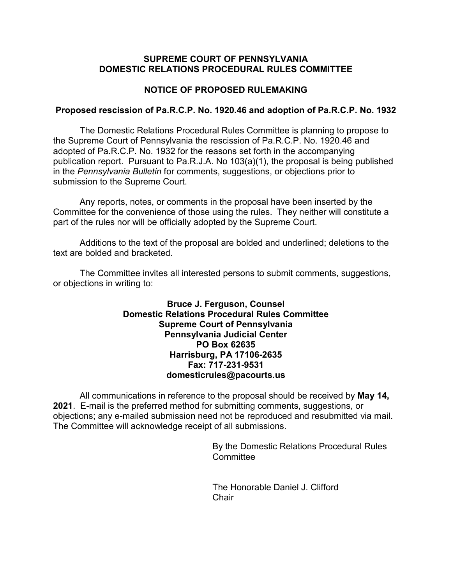### **SUPREME COURT OF PENNSYLVANIA DOMESTIC RELATIONS PROCEDURAL RULES COMMITTEE**

# **NOTICE OF PROPOSED RULEMAKING**

#### **Proposed rescission of Pa.R.C.P. No. 1920.46 and adoption of Pa.R.C.P. No. 1932**

The Domestic Relations Procedural Rules Committee is planning to propose to the Supreme Court of Pennsylvania the rescission of Pa.R.C.P. No. 1920.46 and adopted of Pa.R.C.P. No. 1932 for the reasons set forth in the accompanying publication report. Pursuant to Pa.R.J.A. No 103(a)(1), the proposal is being published in the *Pennsylvania Bulletin* for comments, suggestions, or objections prior to submission to the Supreme Court.

Any reports, notes, or comments in the proposal have been inserted by the Committee for the convenience of those using the rules. They neither will constitute a part of the rules nor will be officially adopted by the Supreme Court.

Additions to the text of the proposal are bolded and underlined; deletions to the text are bolded and bracketed.

The Committee invites all interested persons to submit comments, suggestions, or objections in writing to:

## **Bruce J. Ferguson, Counsel Domestic Relations Procedural Rules Committee Supreme Court of Pennsylvania Pennsylvania Judicial Center PO Box 62635 Harrisburg, PA 17106-2635 Fax: 717-231-9531 domesticrules@pacourts.us**

All communications in reference to the proposal should be received by **May 14, 2021**. E-mail is the preferred method for submitting comments, suggestions, or objections; any e-mailed submission need not be reproduced and resubmitted via mail. The Committee will acknowledge receipt of all submissions.

> By the Domestic Relations Procedural Rules **Committee**

The Honorable Daniel J. Clifford Chair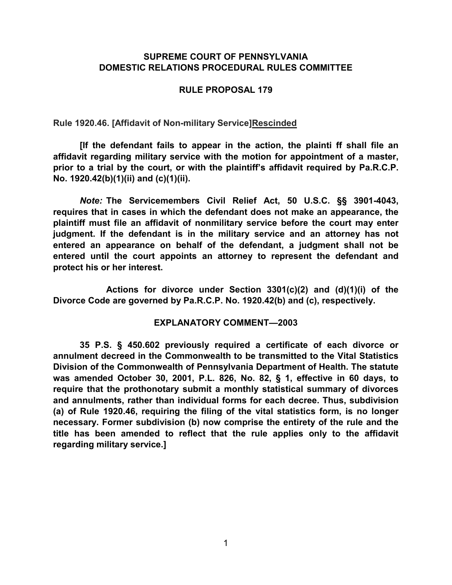## **SUPREME COURT OF PENNSYLVANIA DOMESTIC RELATIONS PROCEDURAL RULES COMMITTEE**

## **RULE PROPOSAL 179**

**Rule 1920.46. [Affidavit of Non-military Service]Rescinded**

**[If the defendant fails to appear in the action, the plainti ff shall file an affidavit regarding military service with the motion for appointment of a master, prior to a trial by the court, or with the plaintiff's affidavit required by Pa.R.C.P. No. 1920.42(b)(1)(ii) and (c)(1)(ii).**

*Note:* **The Servicemembers Civil Relief Act, 50 U.S.C. §§ 3901[-4043,](http://www.westlaw.com/Link/Document/FullText?findType=L&pubNum=1000546&cite=50USCAS4043&originatingDoc=NDF0F29F0888D11E99D47CC25387D878C&refType=LQ&originationContext=document&vr=3.0&rs=cblt1.0&transitionType=DocumentItem&contextData=(sc.Category)) requires that in cases in which the defendant does not make an appearance, the plaintiff must file an affidavit of nonmilitary service before the court may enter judgment. If the defendant is in the military service and an attorney has not entered an appearance on behalf of the defendant, a judgment shall not be entered until the court appoints an attorney to represent the defendant and protect his or her interest.**

**Actions for divorce under Section 3301(c)(2) and (d)(1)(i) of the Divorce Code are governed by Pa.R.C.P. No. 1920.42(b) and (c), respectively.**

### **EXPLANATORY COMMENT—2003**

**35 P.S. § 450.602 previously required a certificate of each divorce or annulment decreed in the Commonwealth to be transmitted to the Vital Statistics Division of the Commonwealth of Pennsylvania Department of Health. The statute was amended October 30, 2001, P.L. 826, No. 82, § 1, effective in 60 days, to require that the prothonotary submit a monthly statistical summary of divorces and annulments, rather than individual forms for each decree. Thus, subdivision (a) of Rule 1920.46, requiring the filing of the vital statistics form, is no longer necessary. Former subdivision (b) now comprise the entirety of the rule and the title has been amended to reflect that the rule applies only to the affidavit regarding military service.]**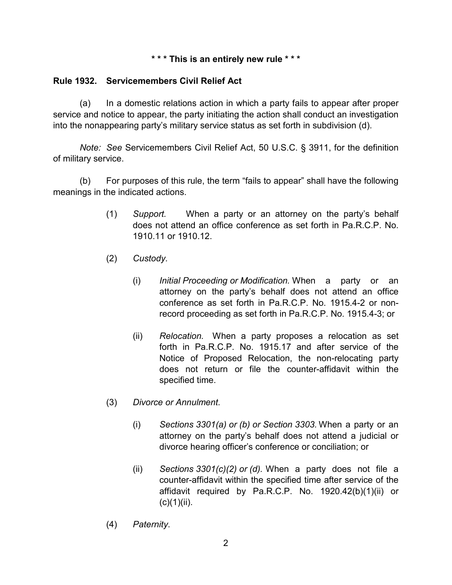### **\* \* \* This is an entirely new rule \* \* \***

# **Rule 1932. Servicemembers Civil Relief Act**

(a) In a domestic relations action in which a party fails to appear after proper service and notice to appear, the party initiating the action shall conduct an investigation into the nonappearing party's military service status as set forth in subdivision (d).

*Note: See* Servicemembers Civil Relief Act, 50 U.S.C. § 3911, for the definition of military service.

(b) For purposes of this rule, the term "fails to appear" shall have the following meanings in the indicated actions.

- (1) *Support.* When a party or an attorney on the party's behalf does not attend an office conference as set forth in Pa.R.C.P. No. 1910.11 or 1910.12.
- (2) *Custody.*
	- (i) *Initial Proceeding or Modification.* When a party or an attorney on the party's behalf does not attend an office conference as set forth in Pa.R.C.P. No. 1915.4-2 or nonrecord proceeding as set forth in Pa.R.C.P. No. 1915.4-3; or
	- (ii) *Relocation.* When a party proposes a relocation as set forth in Pa.R.C.P. No. 1915.17 and after service of the Notice of Proposed Relocation, the non-relocating party does not return or file the counter-affidavit within the specified time.
- (3) *Divorce or Annulment.*
	- (i) *Sections 3301(a) or (b) or Section 3303.* When a party or an attorney on the party's behalf does not attend a judicial or divorce hearing officer's conference or conciliation; or
	- (ii) *Sections 3301(c)(2) or (d).* When a party does not file a counter-affidavit within the specified time after service of the affidavit required by Pa.R.C.P. No. 1920.42(b)(1)(ii) or  $(c)(1)(ii)$ .
- (4) *Paternity*.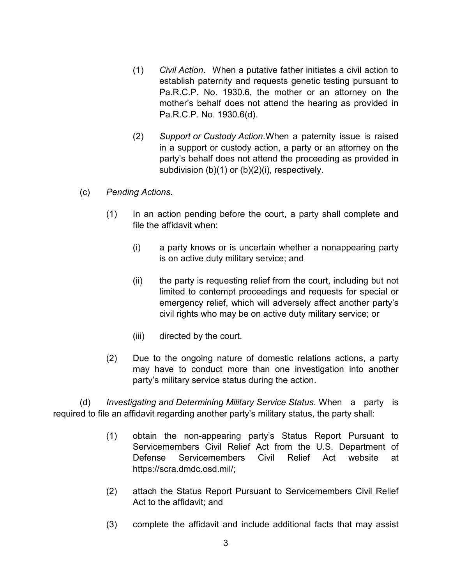- (1) *Civil Action*. When a putative father initiates a civil action to establish paternity and requests genetic testing pursuant to Pa.R.C.P. No. 1930.6, the mother or an attorney on the mother's behalf does not attend the hearing as provided in Pa.R.C.P. No. 1930.6(d).
- (2) *Support or Custody Action*.When a paternity issue is raised in a support or custody action, a party or an attorney on the party's behalf does not attend the proceeding as provided in subdivision (b)(1) or (b)(2)(i), respectively.
- (c) *Pending Actions.*
	- (1) In an action pending before the court, a party shall complete and file the affidavit when:
		- (i) a party knows or is uncertain whether a nonappearing party is on active duty military service; and
		- (ii) the party is requesting relief from the court, including but not limited to contempt proceedings and requests for special or emergency relief, which will adversely affect another party's civil rights who may be on active duty military service; or
		- (iii) directed by the court.
	- (2) Due to the ongoing nature of domestic relations actions, a party may have to conduct more than one investigation into another party's military service status during the action.

(d) *Investigating and Determining Military Service Status.* When a party is required to file an affidavit regarding another party's military status, the party shall:

- (1) obtain the non-appearing party's Status Report Pursuant to Servicemembers Civil Relief Act from the U.S. Department of Defense Servicemembers Civil Relief Act website at https://scra.dmdc.osd.mil/;
- (2) attach the Status Report Pursuant to Servicemembers Civil Relief Act to the affidavit; and
- (3) complete the affidavit and include additional facts that may assist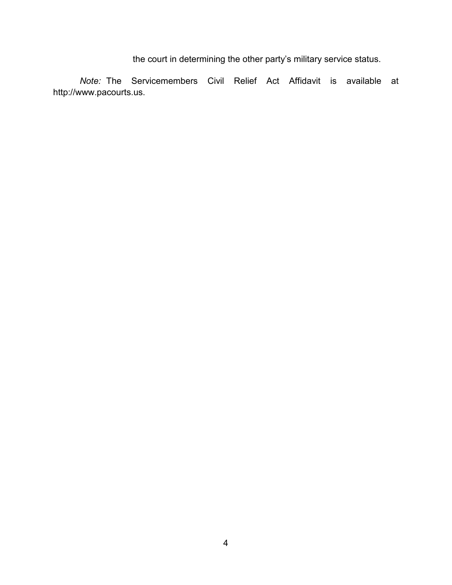the court in determining the other party's military service status.

*Note:* The Servicemembers Civil Relief Act Affidavit is available at http://www.pacourts.us.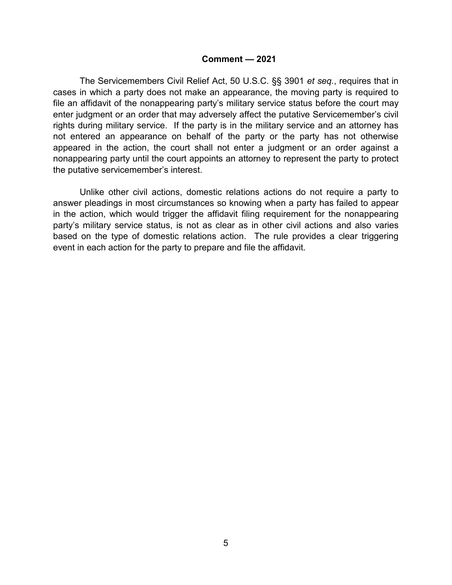#### **Comment — 2021**

The Servicemembers Civil Relief Act, 50 U.S.C. §§ 3901 *et seq.*, requires that in cases in which a party does not make an appearance, the moving party is required to file an affidavit of the nonappearing party's military service status before the court may enter judgment or an order that may adversely affect the putative Servicemember's civil rights during military service. If the party is in the military service and an attorney has not entered an appearance on behalf of the party or the party has not otherwise appeared in the action, the court shall not enter a judgment or an order against a nonappearing party until the court appoints an attorney to represent the party to protect the putative servicemember's interest.

Unlike other civil actions, domestic relations actions do not require a party to answer pleadings in most circumstances so knowing when a party has failed to appear in the action, which would trigger the affidavit filing requirement for the nonappearing party's military service status, is not as clear as in other civil actions and also varies based on the type of domestic relations action. The rule provides a clear triggering event in each action for the party to prepare and file the affidavit.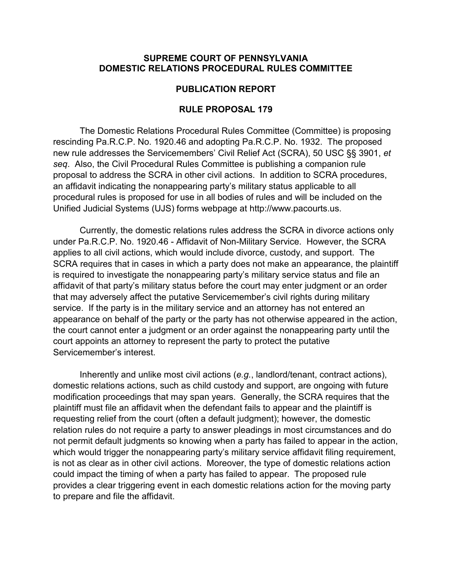#### **SUPREME COURT OF PENNSYLVANIA DOMESTIC RELATIONS PROCEDURAL RULES COMMITTEE**

#### **PUBLICATION REPORT**

#### **RULE PROPOSAL 179**

The Domestic Relations Procedural Rules Committee (Committee) is proposing rescinding Pa.R.C.P. No. 1920.46 and adopting Pa.R.C.P. No. 1932. The proposed new rule addresses the Servicemembers' Civil Relief Act (SCRA), 50 USC §§ 3901, *et seq*. Also, the Civil Procedural Rules Committee is publishing a companion rule proposal to address the SCRA in other civil actions. In addition to SCRA procedures, an affidavit indicating the nonappearing party's military status applicable to all procedural rules is proposed for use in all bodies of rules and will be included on the Unified Judicial Systems (UJS) forms webpage at http://www.pacourts.us.

Currently, the domestic relations rules address the SCRA in divorce actions only under Pa.R.C.P. No. 1920.46 - Affidavit of Non-Military Service. However, the SCRA applies to all civil actions, which would include divorce, custody, and support. The SCRA requires that in cases in which a party does not make an appearance, the plaintiff is required to investigate the nonappearing party's military service status and file an affidavit of that party's military status before the court may enter judgment or an order that may adversely affect the putative Servicemember's civil rights during military service. If the party is in the military service and an attorney has not entered an appearance on behalf of the party or the party has not otherwise appeared in the action, the court cannot enter a judgment or an order against the nonappearing party until the court appoints an attorney to represent the party to protect the putative Servicemember's interest.

Inherently and unlike most civil actions (*e.g.*, landlord/tenant, contract actions), domestic relations actions, such as child custody and support, are ongoing with future modification proceedings that may span years. Generally, the SCRA requires that the plaintiff must file an affidavit when the defendant fails to appear and the plaintiff is requesting relief from the court (often a default judgment); however, the domestic relation rules do not require a party to answer pleadings in most circumstances and do not permit default judgments so knowing when a party has failed to appear in the action, which would trigger the nonappearing party's military service affidavit filing requirement, is not as clear as in other civil actions. Moreover, the type of domestic relations action could impact the timing of when a party has failed to appear. The proposed rule provides a clear triggering event in each domestic relations action for the moving party to prepare and file the affidavit.